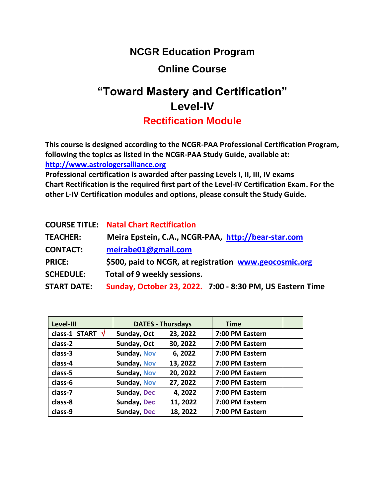# **NCGR Education Program**

# **Online Course**

# **"Toward Mastery and Certification" Level-IV**

**Rectification Module**

**This course is designed according to the NCGR-PAA Professional Certification Program, following the topics as listed in the NCGR-PAA Study Guide, available at: [http://www.astrologersalliance.org](http://www.astrologersalliance.org/)**

**Professional certification is awarded after passing Levels I, II, III, IV exams Chart Rectification is the required first part of the Level-IV Certification Exam. For the other L-IV Certification modules and options, please consult the Study Guide.**

|                    | <b>COURSE TITLE: Natal Chart Rectification</b>            |  |  |  |
|--------------------|-----------------------------------------------------------|--|--|--|
| <b>TEACHER:</b>    | Meira Epstein, C.A., NCGR-PAA, http://bear-star.com       |  |  |  |
| <b>CONTACT:</b>    | meirabe01@gmail.com                                       |  |  |  |
| <b>PRICE:</b>      | \$500, paid to NCGR, at registration www.geocosmic.org    |  |  |  |
| <b>SCHEDULE:</b>   | Total of 9 weekly sessions.                               |  |  |  |
| <b>START DATE:</b> | Sunday, October 23, 2022. 7:00 - 8:30 PM, US Eastern Time |  |  |  |

| Level-III               | <b>DATES - Thursdays</b> |          | <b>Time</b>     |  |
|-------------------------|--------------------------|----------|-----------------|--|
| class-1 START $\sqrt{}$ | Sunday, Oct              | 23, 2022 | 7:00 PM Eastern |  |
| class-2                 | Sunday, Oct              | 30, 2022 | 7:00 PM Eastern |  |
| class-3                 | <b>Sunday, Nov</b>       | 6,2022   | 7:00 PM Eastern |  |
| class-4                 | <b>Sunday, Nov</b>       | 13, 2022 | 7:00 PM Eastern |  |
| class-5                 | <b>Sunday, Nov</b>       | 20, 2022 | 7:00 PM Eastern |  |
| class-6                 | <b>Sunday, Nov</b>       | 27, 2022 | 7:00 PM Eastern |  |
| class-7                 | <b>Sunday, Dec</b>       | 4,2022   | 7:00 PM Eastern |  |
| class-8                 | <b>Sunday, Dec</b>       | 11, 2022 | 7:00 PM Eastern |  |
| class-9                 | <b>Sunday, Dec</b>       | 18, 2022 | 7:00 PM Eastern |  |